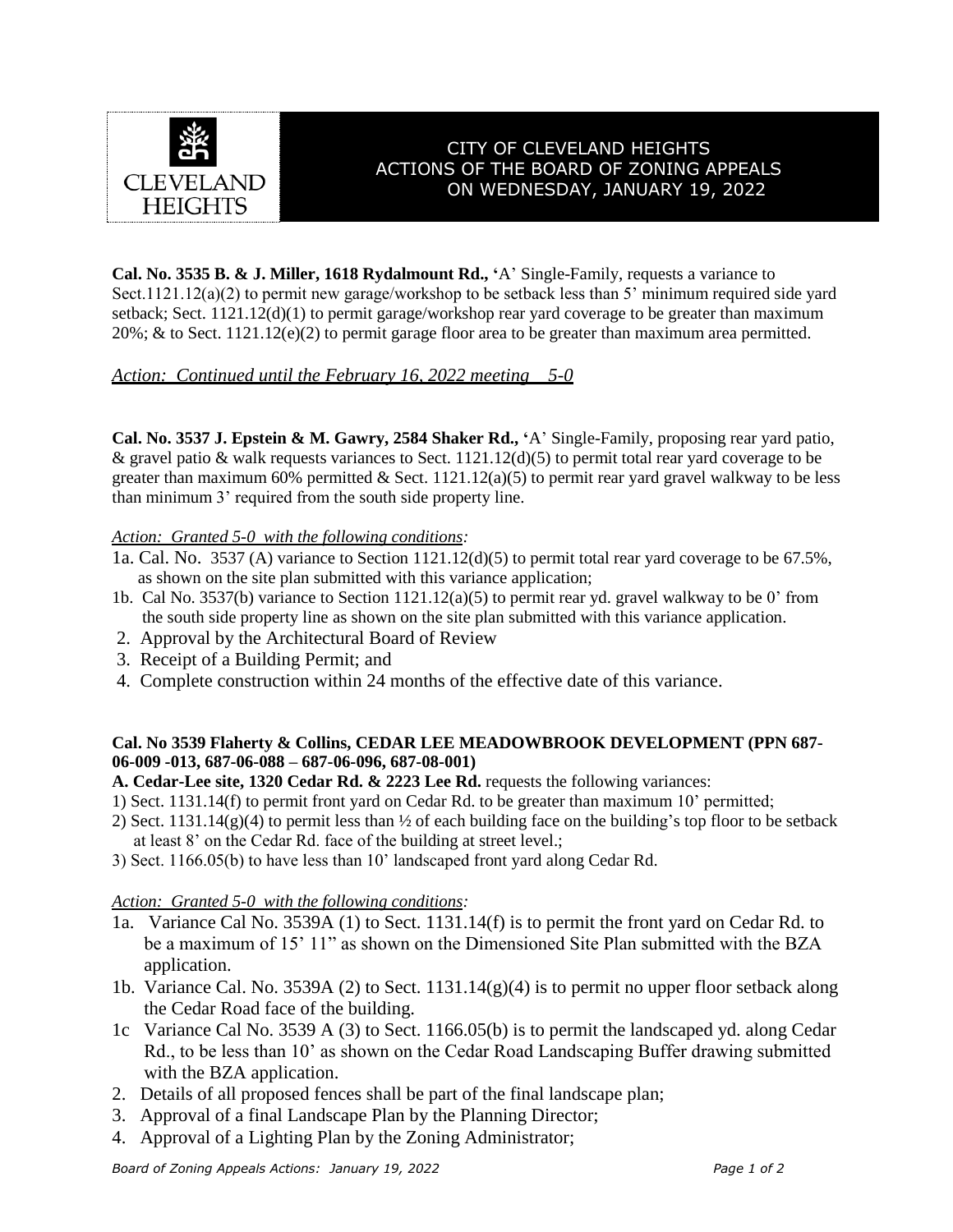

# CITY OF CLEVELAND HEIGHTS ACTIONS OF THE BOARD OF ZONING APPEALS ON WEDNESDAY, JANUARY 19, 2022

**Cal. No. 3535 B. & J. Miller, 1618 Rydalmount Rd., '**A' Single-Family, requests a variance to Sect.1121.12(a)(2) to permit new garage/workshop to be setback less than 5' minimum required side yard setback; Sect. 1121.12(d)(1) to permit garage/workshop rear yard coverage to be greater than maximum  $20\%$ ; & to Sect. 1121.12(e)(2) to permit garage floor area to be greater than maximum area permitted.

## *Action: Continued until the February 16, 2022 meeting 5-0*

**Cal. No. 3537 J. Epstein & M. Gawry, 2584 Shaker Rd., '**A' Single-Family, proposing rear yard patio, & gravel patio & walk requests variances to Sect.  $1121.12(d)(5)$  to permit total rear yard coverage to be greater than maximum 60% permitted & Sect.  $1121.12(a)(5)$  to permit rear yard gravel walkway to be less than minimum 3' required from the south side property line.

#### *Action: Granted 5-0 with the following conditions:*

- 1a. Cal. No. 3537 (A) variance to Section 1121.12(d)(5) to permit total rear yard coverage to be 67.5%, as shown on the site plan submitted with this variance application;
- 1b. Cal No. 3537(b) variance to Section 1121.12(a)(5) to permit rear yd. gravel walkway to be 0' from the south side property line as shown on the site plan submitted with this variance application.
- 2. Approval by the Architectural Board of Review
- 3. Receipt of a Building Permit; and
- 4. Complete construction within 24 months of the effective date of this variance.

#### **Cal. No 3539 Flaherty & Collins, CEDAR LEE MEADOWBROOK DEVELOPMENT (PPN 687- 06-009 -013, 687-06-088 – 687-06-096, 687-08-001)**

**A. Cedar-Lee site, 1320 Cedar Rd. & 2223 Lee Rd.** requests the following variances:

- 1) Sect. 1131.14(f) to permit front yard on Cedar Rd. to be greater than maximum 10' permitted;
- 2) Sect. 1131.14(g)(4) to permit less than  $\frac{1}{2}$  of each building face on the building's top floor to be setback at least 8' on the Cedar Rd. face of the building at street level.;
- 3) Sect. 1166.05(b) to have less than 10' landscaped front yard along Cedar Rd.

### *Action: Granted 5-0 with the following conditions:*

- 1a. Variance Cal No. 3539A (1) to Sect. 1131.14(f) is to permit the front yard on Cedar Rd. to be a maximum of 15' 11" as shown on the Dimensioned Site Plan submitted with the BZA application.
- 1b. Variance Cal. No. 3539A (2) to Sect. 1131.14(g)(4) is to permit no upper floor setback along the Cedar Road face of the building.
- 1c Variance Cal No. 3539 A (3) to Sect. 1166.05(b) is to permit the landscaped yd. along Cedar Rd., to be less than 10' as shown on the Cedar Road Landscaping Buffer drawing submitted with the BZA application.
- 2. Details of all proposed fences shall be part of the final landscape plan;
- 3. Approval of a final Landscape Plan by the Planning Director;
- 4. Approval of a Lighting Plan by the Zoning Administrator;